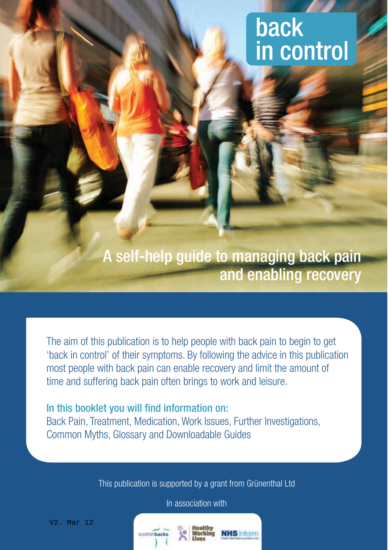# back in control

A self-help guide to managing back pain and enabling recovery

The aim of this publication is to help people with back pain to begin to get 'back in control' of their symptoms. By following the advice in this publication most people with back pain can enable recovery and limit the amount of time and suffering back pain often brings to work and leisure.

#### In this booklet you will find information on:

Back Pain, Treatment, Medication, Work Issues, Further Investigations, Common Myths, Glossary and Downloadable Guides

This publication is supported by a grant from Grünenthal Ltd

In association with

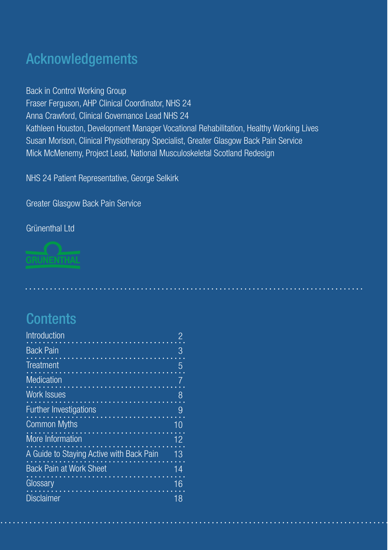## Acknowledgements

Back in Control Working Group Fraser Ferguson, AHP Clinical Coordinator, NHS 24 Anna Crawford, Clinical Governance Lead NHS 24 Kathleen Houston, Development Manager Vocational Rehabilitation, Healthy Working Lives Susan Morison, Clinical Physiotherapy Specialist, Greater Glasgow Back Pain Service Mick McMenemy, Project Lead, National Musculoskeletal Scotland Redesign

NHS 24 Patient Representative, George Selkirk

Greater Glasgow Back Pain Service

#### Grünenthal Ltd



## **Contents**

| Introduction                             |    |
|------------------------------------------|----|
| <b>Back Pain</b>                         | З  |
| Treatment                                | 5  |
| <b>Medication</b>                        |    |
| <b>Work Issues</b>                       | 8  |
| <b>Further Investigations</b>            |    |
| <b>Common Myths</b>                      | 10 |
| More Information                         | 12 |
| A Guide to Staying Active with Back Pain | 13 |
| <b>Back Pain at Work Sheet</b>           | 14 |
| Glossary                                 | 16 |
| <b>Disclaimer</b>                        | 18 |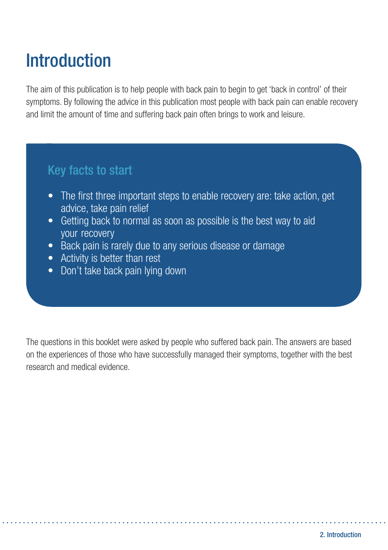# **Introduction**

The aim of this publication is to help people with back pain to begin to get 'back in control' of their symptoms. By following the advice in this publication most people with back pain can enable recovery and limit the amount of time and suffering back pain often brings to work and leisure.

## Key facts to start

- The first three important steps to enable recovery are: take action, get advice, take pain relief
- Getting back to normal as soon as possible is the best way to aid your recovery
- Back pain is rarely due to any serious disease or damage
- Activity is better than rest
- Don't take back pain lying down

The questions in this booklet were asked by people who suffered back pain. The answers are based on the experiences of those who have successfully managed their symptoms, together with the best research and medical evidence.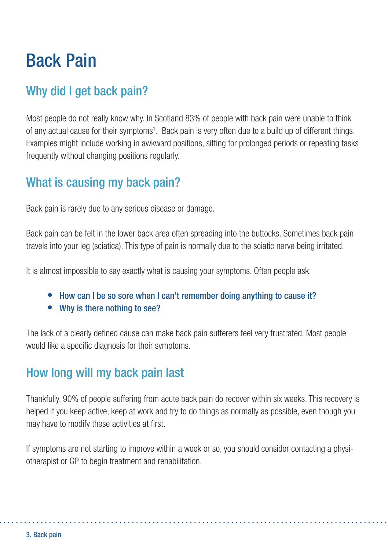# Back Pain

## Why did I get back pain?

Most people do not really know why. In Scotland 83% of people with back pain were unable to think of any actual cause for their symptoms<sup>1</sup>. Back pain is very often due to a build up of different things. Examples might include working in awkward positions, sitting for prolonged periods or repeating tasks frequently without changing positions regularly.

## What is causing my back pain?

Back pain is rarely due to any serious disease or damage.

Back pain can be felt in the lower back area often spreading into the buttocks. Sometimes back pain travels into your leg (sciatica). This type of pain is normally due to the sciatic nerve being irritated.

It is almost impossible to say exactly what is causing your symptoms. Often people ask:

- How can I be so sore when I can't remember doing anything to cause it?
- Why is there nothing to see?

The lack of a clearly defined cause can make back pain sufferers feel very frustrated. Most people would like a specific diagnosis for their symptoms.

## How long will my back pain last

Thankfully, 90% of people suffering from acute back pain do recover within six weeks. This recovery is helped if you keep active, keep at work and try to do things as normally as possible, even though you may have to modify these activities at first.

If symptoms are not starting to improve within a week or so, you should consider contacting a physiotherapist or GP to begin treatment and rehabilitation.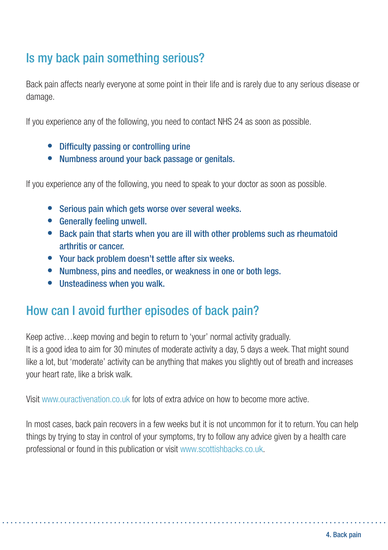## Is my back pain something serious?

Back pain affects nearly everyone at some point in their life and is rarely due to any serious disease or damage.

If you experience any of the following, you need to contact NHS 24 as soon as possible.

- Difficulty passing or controlling urine
- Numbness around your back passage or genitals.

If you experience any of the following, you need to speak to your doctor as soon as possible.

- Serious pain which gets worse over several weeks.
- $\bullet$  Generally feeling unwell.
- Back pain that starts when you are ill with other problems such as rheumatoid arthritis or cancer.
- Your back problem doesn't settle after six weeks.
- Numbness, pins and needles, or weakness in one or both legs.
- $\bullet$  Unsteadiness when you walk.

## How can I avoid further episodes of back pain?

Keep active…keep moving and begin to return to 'your' normal activity gradually. It is a good idea to aim for 30 minutes of moderate activity a day, 5 days a week. That might sound like a lot, but 'moderate' activity can be anything that makes you slightly out of breath and increases your heart rate, like a brisk walk.

Visit www.ouractivenation.co.uk for lots of extra advice on how to become more active.

In most cases, back pain recovers in a few weeks but it is not uncommon for it to return. You can help things by trying to stay in control of your symptoms, try to follow any advice given by a health care professional or found in this publication or visit www.scottishbacks.co.uk.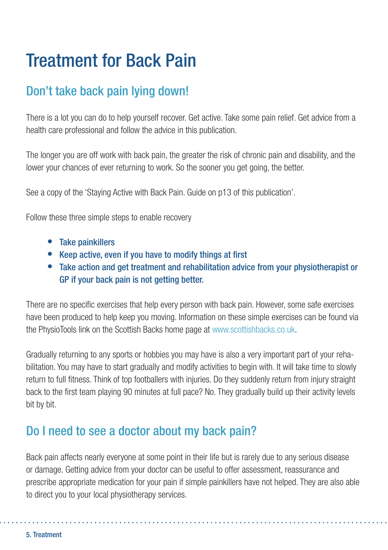# Treatment for Back Pain

## Don't take back pain lying down!

There is a lot you can do to help yourself recover. Get active. Take some pain relief. Get advice from a health care professional and follow the advice in this publication.

The longer you are off work with back pain, the greater the risk of chronic pain and disability, and the lower your chances of ever returning to work. So the sooner you get going, the better.

See a copy of the 'Staying Active with Back Pain. Guide on p13 of this publication'.

Follow these three simple steps to enable recovery

- Take painkillers
- Keep active, even if you have to modify things at first
- Take action and get treatment and rehabilitation advice from your physiotherapist or GP if your back pain is not getting better.

There are no specific exercises that help every person with back pain. However, some safe exercises have been produced to help keep you moving. Information on these simple exercises can be found via the PhysioTools link on the Scottish Backs home page at www.scottishbacks.co.uk.

Gradually returning to any sports or hobbies you may have is also a very important part of your rehabilitation. You may have to start gradually and modify activities to begin with. It will take time to slowly return to full fitness. Think of top footballers with injuries. Do they suddenly return from injury straight back to the first team playing 90 minutes at full pace? No. They gradually build up their activity levels bit by bit.

## Do I need to see a doctor about my back pain?

Back pain affects nearly everyone at some point in their life but is rarely due to any serious disease or damage. Getting advice from your doctor can be useful to offer assessment, reassurance and prescribe appropriate medication for your pain if simple painkillers have not helped. They are also able to direct you to your local physiotherapy services.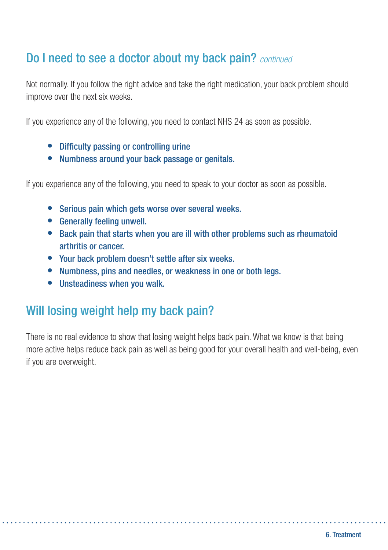## Do I need to see a doctor about my back pain? *continued*

Not normally. If you follow the right advice and take the right medication, your back problem should improve over the next six weeks.

If you experience any of the following, you need to contact NHS 24 as soon as possible.

- Difficulty passing or controlling urine
- Numbness around your back passage or genitals.

If you experience any of the following, you need to speak to your doctor as soon as possible.

- Serious pain which gets worse over several weeks.
- **•** Generally feeling unwell.
- Back pain that starts when you are ill with other problems such as rheumatoid arthritis or cancer.
- Your back problem doesn't settle after six weeks.
- Numbness, pins and needles, or weakness in one or both legs.
- $\bullet$  Unsteadiness when you walk.

## Will losing weight help my back pain?

There is no real evidence to show that losing weight helps back pain. What we know is that being more active helps reduce back pain as well as being good for your overall health and well-being, even if you are overweight.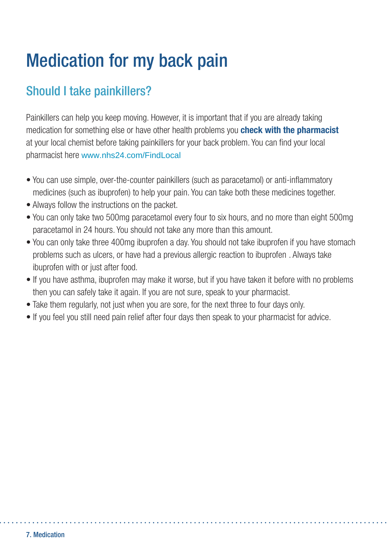# Medication for my back pain

## Should I take painkillers?

Painkillers can help you keep moving. However, it is important that if you are already taking medication for something else or have other health problems you **check with the pharmacist** at your local chemist before taking painkillers for your back problem. You can find your local pharmacist here www.nhs24.com/FindLocal

- You can use simple, over-the-counter painkillers (such as paracetamol) or anti-inflammatory medicines (such as ibuprofen) to help your pain. You can take both these medicines together.
- Always follow the instructions on the packet.
- You can only take two 500mg paracetamol every four to six hours, and no more than eight 500mg paracetamol in 24 hours. You should not take any more than this amount.
- You can only take three 400mg ibuprofen a day. You should not take ibuprofen if you have stomach problems such as ulcers, or have had a previous allergic reaction to ibuprofen . Always take ibuprofen with or just after food.
- If you have asthma, ibuprofen may make it worse, but if you have taken it before with no problems then you can safely take it again. If you are not sure, speak to your pharmacist.
- Take them regularly, not just when you are sore, for the next three to four days only.
- If you feel you still need pain relief after four days then speak to your pharmacist for advice.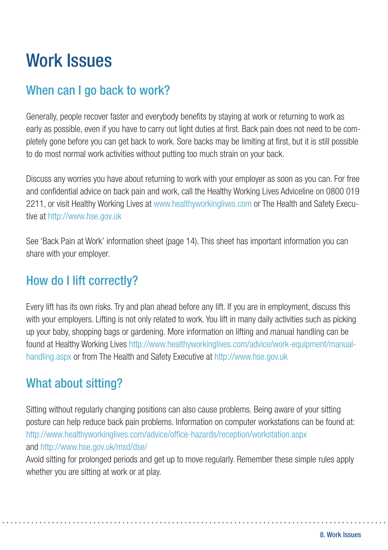# Work Issues

## When can I go back to work?

Generally, people recover faster and everybody benefits by staying at work or returning to work as early as possible, even if you have to carry out light duties at first. Back pain does not need to be completely gone before you can get back to work. Sore backs may be limiting at first, but it is still possible to do most normal work activities without putting too much strain on your back.

Discuss any worries you have about returning to work with your employer as soon as you can. For free and confidential advice on back pain and work, call the Healthy Working Lives Adviceline on 0800 019 2211, or visit Healthy Working Lives at www.healthyworkinglives.com or The Health and Safety Executive at http://www.hse.gov.uk

See 'Back Pain at Work' information sheet (page 14). This sheet has important information you can share with your employer.

## How do I lift correctly?

Every lift has its own risks. Try and plan ahead before any lift. If you are in employment, discuss this with your employers. Lifting is not only related to work. You lift in many daily activities such as picking up your baby, shopping bags or gardening. More information on lifting and manual handling can be found at Healthy Working Lives http://www.healthyworkinglives.com/advice/work-equipment/manualhandling.aspx or from The Health and Safety Executive at http://www.hse.gov.uk

## What about sitting?

Sitting without regularly changing positions can also cause problems. Being aware of your sitting posture can help reduce back pain problems. Information on computer workstations can be found at: http://www.healthyworkinglives.com/advice/office-hazards/reception/workstation.aspx and http://www.hse.gov.uk/msd/dse/

Avoid sitting for prolonged periods and get up to move regularly. Remember these simple rules apply whether you are sitting at work or at play.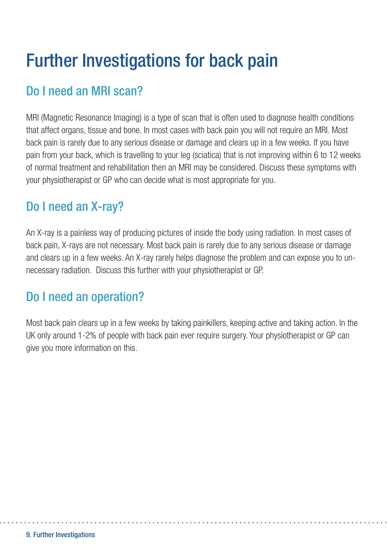# Further Investigations for back pain

## Do I need an MRI scan?

MRI (Magnetic Resonance Imaging) is a type of scan that is often used to diagnose health conditions that affect organs, tissue and bone. In most cases with back pain you will not require an MRI. Most back pain is rarely due to any serious disease or damage and clears up in a few weeks. If you have pain from your back, which is travelling to your leg (sciatica) that is not improving within 6 to 12 weeks of normal treatment and rehabilitation then an MRI may be considered. Discuss these symptoms with your physiotherapist or GP who can decide what is most appropriate for you.

## Do I need an X-ray?

An X-ray is a painless way of producing pictures of inside the body using radiation. In most cases of back pain, X-rays are not necessary. Most back pain is rarely due to any serious disease or damage and clears up in a few weeks. An X-ray rarely helps diagnose the problem and can expose you to unnecessary radiation. Discuss this further with your physiotherapist or GP.

## Do I need an operation?

Most back pain clears up in a few weeks by taking painkillers, keeping active and taking action. In the UK only around 1-2% of people with back pain ever require surgery. Your physiotherapist or GP can give you more information on this.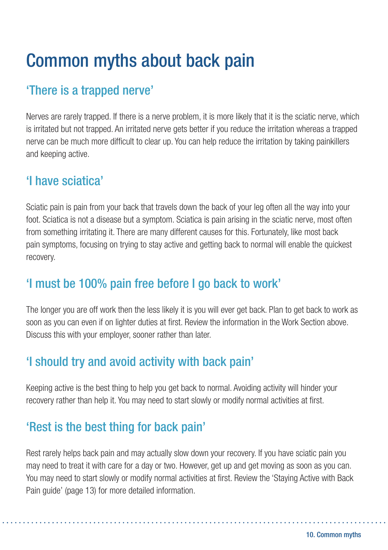# Common myths about back pain

## 'There is a trapped nerve'

Nerves are rarely trapped. If there is a nerve problem, it is more likely that it is the sciatic nerve, which is irritated but not trapped. An irritated nerve gets better if you reduce the irritation whereas a trapped nerve can be much more difficult to clear up. You can help reduce the irritation by taking painkillers and keeping active.

## 'I have sciatica'

Sciatic pain is pain from your back that travels down the back of your leg often all the way into your foot. Sciatica is not a disease but a symptom. Sciatica is pain arising in the sciatic nerve, most often from something irritating it. There are many different causes for this. Fortunately, like most back pain symptoms, focusing on trying to stay active and getting back to normal will enable the quickest recovery.

## 'I must be 100% pain free before I go back to work'

The longer you are off work then the less likely it is you will ever get back. Plan to get back to work as soon as you can even if on lighter duties at first. Review the information in the Work Section above. Discuss this with your employer, sooner rather than later.

## 'I should try and avoid activity with back pain'

Keeping active is the best thing to help you get back to normal. Avoiding activity will hinder your recovery rather than help it. You may need to start slowly or modify normal activities at first.

## 'Rest is the best thing for back pain'

Rest rarely helps back pain and may actually slow down your recovery. If you have sciatic pain you may need to treat it with care for a day or two. However, get up and get moving as soon as you can. You may need to start slowly or modify normal activities at first. Review the 'Staying Active with Back Pain guide' (page 13) for more detailed information.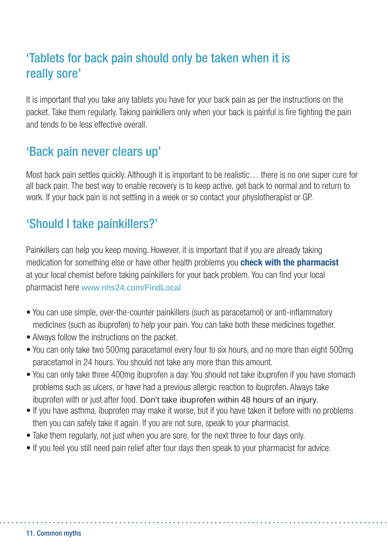## 'Tablets for back pain should only be taken when it is really sore'

It is important that you take any tablets you have for your back pain as per the instructions on the packet. Take them regularly. Taking painkillers only when your back is painful is fire fighting the pain and tends to be less effective overall.

## 'Back pain never clears up'

Most back pain settles quickly. Although it is important to be realistic… there is no one super cure for all back pain. The best way to enable recovery is to keep active, get back to normal and to return to work. If your back pain is not settling in a week or so contact your physiotherapist or GP.

## 'Should I take painkillers?'

Painkillers can help you keep moving. However, it is important that if you are already taking medication for something else or have other health problems you **check with the pharmacist** at your local chemist before taking painkillers for your back problem. You can find your local pharmacist here www.nhs24.com/FindLocal

- You can use simple, over-the-counter painkillers (such as paracetamol) or anti-inflammatory medicines (such as ibuprofen) to help your pain. You can take both these medicines together.
- Always follow the instructions on the packet.
- You can only take two 500mg paracetamol every four to six hours, and no more than eight 500mg paracetamol in 24 hours. You should not take any more than this amount.
- You can only take three 400mg ibuprofen a day. You should not take ibuprofen if you have stomach problems such as ulcers, or have had a previous allergic reaction to ibuprofen. Always take ibuprofen with or just after food. Don't take ibuprofen within 48 hours of an injury.
- If you have asthma, ibuprofen may make it worse, but if you have taken it before with no problems then you can safely take it again. If you are not sure, speak to your pharmacist.
- Take them regularly, not just when you are sore, for the next three to four days only.
- If you feel you still need pain relief after four days then speak to your pharmacist for advice.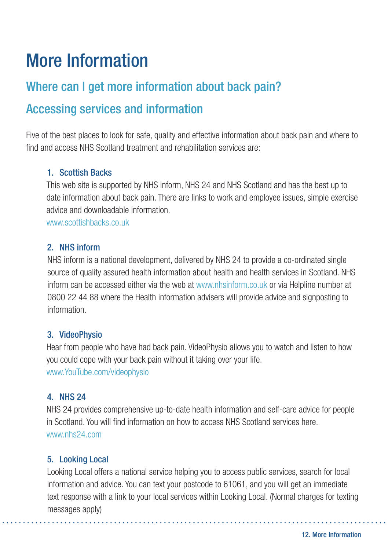# More Information

## Where can I get more information about back pain?

## Accessing services and information

Five of the best places to look for safe, quality and effective information about back pain and where to find and access NHS Scotland treatment and rehabilitation services are:

#### 1. Scottish Backs

This web site is supported by NHS inform, NHS 24 and NHS Scotland and has the best up to date information about back pain. There are links to work and employee issues, simple exercise advice and downloadable information.

www.scottishbacks.co.uk

#### 2. NHS inform

NHS inform is a national development, delivered by NHS 24 to provide a co-ordinated single source of quality assured health information about health and health services in Scotland. NHS inform can be accessed either via the web at www.nhsinform.co.uk or via Helpline number at 0800 22 44 88 where the Health information advisers will provide advice and signposting to information.

#### 3. VideoPhysio

Hear from people who have had back pain. VideoPhysio allows you to watch and listen to how you could cope with your back pain without it taking over your life. www.YouTube.com/videophysio

#### 4. NHS 24

NHS 24 provides comprehensive up-to-date health information and self-care advice for people in Scotland. You will find information on how to access NHS Scotland services here. www.nhs24.com

#### 5. Looking Local

Looking Local offers a national service helping you to access public services, search for local information and advice. You can text your postcode to 61061, and you will get an immediate text response with a link to your local services within Looking Local. (Normal charges for texting messages apply)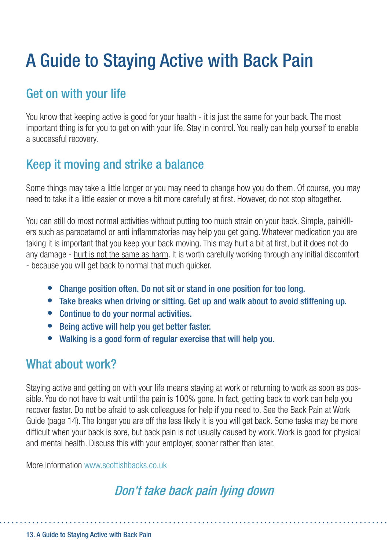# A Guide to Staying Active with Back Pain

## Get on with your life

You know that keeping active is good for your health - it is just the same for your back. The most important thing is for you to get on with your life. Stay in control. You really can help yourself to enable a successful recovery.

## Keep it moving and strike a balance

Some things may take a little longer or you may need to change how you do them. Of course, you may need to take it a little easier or move a bit more carefully at first. However, do not stop altogether.

You can still do most normal activities without putting too much strain on your back. Simple, painkillers such as paracetamol or anti-inflammatories may help you get going. Whatever medication you are taking it is important that you keep your back moving. This may hurt a bit at first, but it does not do any damage - hurt is not the same as harm. It is worth carefully working through any initial discomfort - because you will get back to normal that much quicker.

- Change position often. Do not sit or stand in one position for too long.
- Take breaks when driving or sitting. Get up and walk about to avoid stiffening up.
- Continue to do your normal activities.
- Being active will help you get better faster.
- Walking is a good form of regular exercise that will help you.

### What about work?

Staying active and getting on with your life means staying at work or returning to work as soon as possible. You do not have to wait until the pain is 100% gone. In fact, getting back to work can help you recover faster. Do not be afraid to ask colleagues for help if you need to. See the Back Pain at Work Guide (page 14). The longer you are off the less likely it is you will get back. Some tasks may be more difficult when your back is sore, but back pain is not usually caused by work. Work is good for physical and mental health. Discuss this with your employer, sooner rather than later.

More information www.scottishbacks.co.uk

## Don't take back pain lying down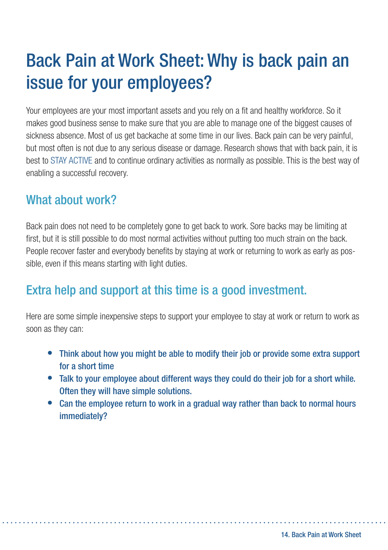# Back Pain at Work Sheet: Why is back pain an issue for your employees?

Your employees are your most important assets and you rely on a fit and healthy workforce. So it makes good business sense to make sure that you are able to manage one of the biggest causes of sickness absence. Most of us get backache at some time in our lives. Back pain can be very painful, but most often is not due to any serious disease or damage. Research shows that with back pain, it is best to STAY ACTIVE and to continue ordinary activities as normally as possible. This is the best way of enabling a successful recovery.

## What about work?

Back pain does not need to be completely gone to get back to work. Sore backs may be limiting at first, but it is still possible to do most normal activities without putting too much strain on the back. People recover faster and everybody benefits by staying at work or returning to work as early as possible, even if this means starting with light duties.

## Extra help and support at this time is a good investment.

Here are some simple inexpensive steps to support your employee to stay at work or return to work as soon as they can:

- Think about how you might be able to modify their job or provide some extra support for a short time
- Talk to your employee about different ways they could do their job for a short while. Often they will have simple solutions.
- Can the employee return to work in a gradual way rather than back to normal hours immediately?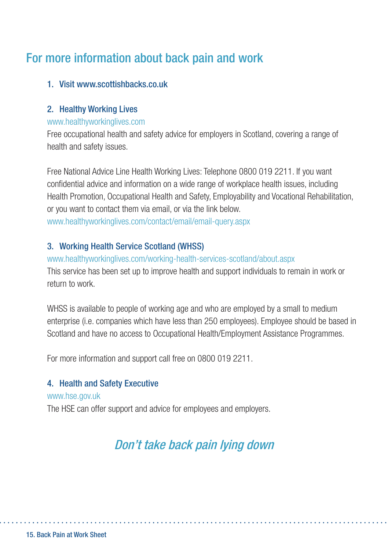## For more information about back pain and work

#### 1. Visit www.scottishbacks.co.uk

#### 2. Healthy Working Lives

#### www.healthyworkinglives.com

Free occupational health and safety advice for employers in Scotland, covering a range of health and safety issues.

Free National Advice Line Health Working Lives: Telephone 0800 019 2211. If you want confidential advice and information on a wide range of workplace health issues, including Health Promotion, Occupational Health and Safety, Employability and Vocational Rehabilitation, or you want to contact them via email, or via the link below. www.healthyworkinglives.com/contact/email/email-query.aspx

#### 3. Working Health Service Scotland (WHSS)

www.healthyworkinglives.com/working-health-services-scotland/about.aspx This service has been set up to improve health and support individuals to remain in work or return to work.

WHSS is available to people of working age and who are employed by a small to medium enterprise (i.e. companies which have less than 250 employees). Employee should be based in Scotland and have no access to Occupational Health/Employment Assistance Programmes.

For more information and support call free on 0800 019 2211.

#### 4. Health and Safety Executive

#### www.hse.gov.uk

The HSE can offer support and advice for employees and employers.

## Don't take back pain lying down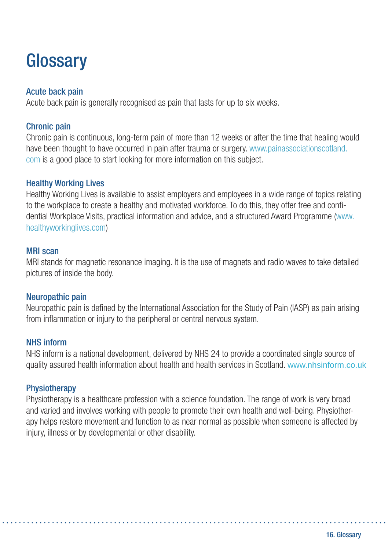# **Glossary**

#### Acute back pain

Acute back pain is generally recognised as pain that lasts for up to six weeks.

#### Chronic pain

Chronic pain is continuous, long-term pain of more than 12 weeks or after the time that healing would have been thought to have occurred in pain after trauma or surgery. www.painassociationscotland. com is a good place to start looking for more information on this subject.

#### Healthy Working Lives

Healthy Working Lives is available to assist employers and employees in a wide range of topics relating to the workplace to create a healthy and motivated workforce. To do this, they offer free and confidential Workplace Visits, practical information and advice, and a structured Award Programme (www. healthyworkinglives.com)

#### MRI scan

MRI stands for magnetic resonance imaging. It is the use of magnets and radio waves to take detailed pictures of inside the body.

#### Neuropathic pain

Neuropathic pain is defined by the International Association for the Study of Pain (IASP) as pain arising from inflammation or injury to the peripheral or central nervous system.

#### NHS inform

NHS inform is a national development, delivered by NHS 24 to provide a coordinated single source of quality assured health information about health and health services in Scotland. www.nhsinform.co.uk

#### **Physiotherapy**

Physiotherapy is a healthcare profession with a science foundation. The range of work is very broad and varied and involves working with people to promote their own health and well-being. Physiotherapy helps restore movement and function to as near normal as possible when someone is affected by injury, illness or by developmental or other disability.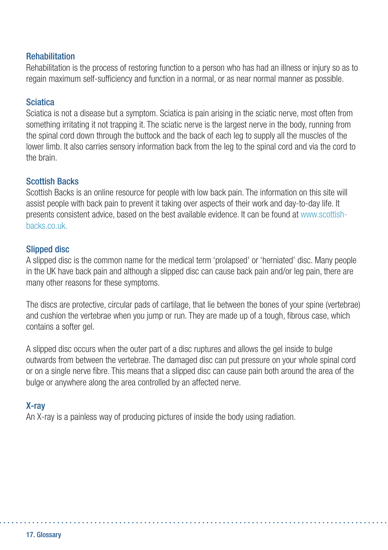#### Rehabilitation

Rehabilitation is the process of restoring function to a person who has had an illness or injury so as to regain maximum self-sufficiency and function in a normal, or as near normal manner as possible.

#### **Sciatica**

Sciatica is not a disease but a symptom. Sciatica is pain arising in the sciatic nerve, most often from something irritating it not trapping it. The sciatic nerve is the largest nerve in the body, running from the spinal cord down through the buttock and the back of each leg to supply all the muscles of the lower limb. It also carries sensory information back from the leg to the spinal cord and via the cord to the brain.

#### Scottish Backs

Scottish Backs is an online resource for people with low back pain. The information on this site will assist people with back pain to prevent it taking over aspects of their work and day-to-day life. It presents consistent advice, based on the best available evidence. It can be found at www.scottishbacks.co.uk.

#### Slipped disc

A slipped disc is the common name for the medical term 'prolapsed' or 'herniated' disc. Many people in the UK have back pain and although a slipped disc can cause back pain and/or leg pain, there are many other reasons for these symptoms.

The discs are protective, circular pads of cartilage, that lie between the bones of your spine (vertebrae) and cushion the vertebrae when you jump or run. They are made up of a tough, fibrous case, which contains a softer gel.

A slipped disc occurs when the outer part of a disc ruptures and allows the gel inside to bulge outwards from between the vertebrae. The damaged disc can put pressure on your whole spinal cord or on a single nerve fibre. This means that a slipped disc can cause pain both around the area of the bulge or anywhere along the area controlled by an affected nerve.

#### X-ray

An X-ray is a painless way of producing pictures of inside the body using radiation.